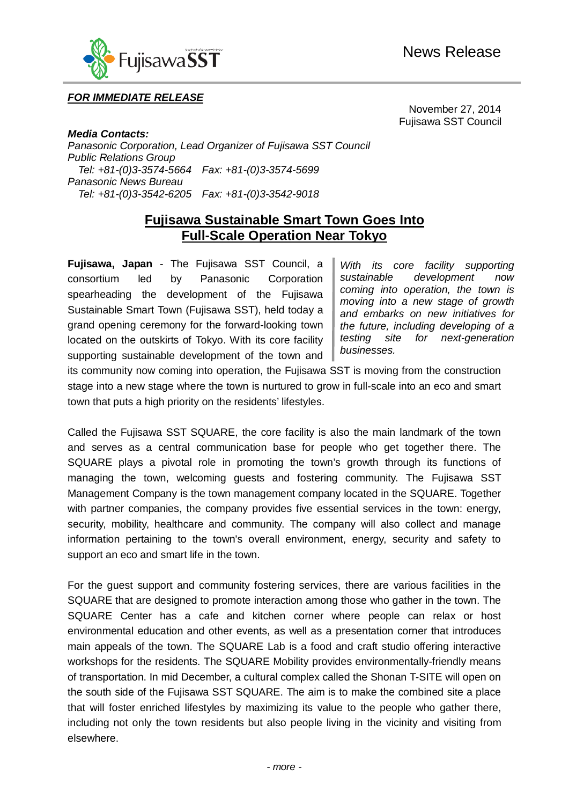

### *FOR IMMEDIATE RELEASE*

November 27, 2014 Fujisawa SST Council

*Media Contacts: Panasonic Corporation, Lead Organizer of Fujisawa SST Council Public Relations Group Tel: +81-(0)3-3574-5664 Fax: +81-(0)3-3574-5699 Panasonic News Bureau Tel: +81-(0)3-3542-6205 Fax: +81-(0)3-3542-9018*

ł

# **Fujisawa Sustainable Smart Town Goes Into Full-Scale Operation Near Tokyo**

**Fujisawa, Japan** - The Fujisawa SST Council, a consortium led by Panasonic Corporation spearheading the development of the Fujisawa Sustainable Smart Town (Fujisawa SST), held today a grand opening ceremony for the forward-looking town located on the outskirts of Tokyo. With its core facility supporting sustainable development of the town and

*With its core facility supporting sustainable development now coming into operation, the town is moving into a new stage of growth and embarks on new initiatives for the future, including developing of a testing site for next-generation businesses.*

its community now coming into operation, the Fujisawa SST is moving from the construction stage into a new stage where the town is nurtured to grow in full-scale into an eco and smart town that puts a high priority on the residents' lifestyles.

Called the Fujisawa SST SQUARE, the core facility is also the main landmark of the town and serves as a central communication base for people who get together there. The SQUARE plays a pivotal role in promoting the town's growth through its functions of managing the town, welcoming guests and fostering community. The Fujisawa SST Management Company is the town management company located in the SQUARE. Together with partner companies, the company provides five essential services in the town: energy, security, mobility, healthcare and community. The company will also collect and manage information pertaining to the town's overall environment, energy, security and safety to support an eco and smart life in the town.

For the guest support and community fostering services, there are various facilities in the SQUARE that are designed to promote interaction among those who gather in the town. The SQUARE Center has a cafe and kitchen corner where people can relax or host environmental education and other events, as well as a presentation corner that introduces main appeals of the town. The SQUARE Lab is a food and craft studio offering interactive workshops for the residents. The SQUARE Mobility provides environmentally-friendly means of transportation. In mid December, a cultural complex called the Shonan T-SITE will open on the south side of the Fujisawa SST SQUARE. The aim is to make the combined site a place that will foster enriched lifestyles by maximizing its value to the people who gather there, including not only the town residents but also people living in the vicinity and visiting from elsewhere.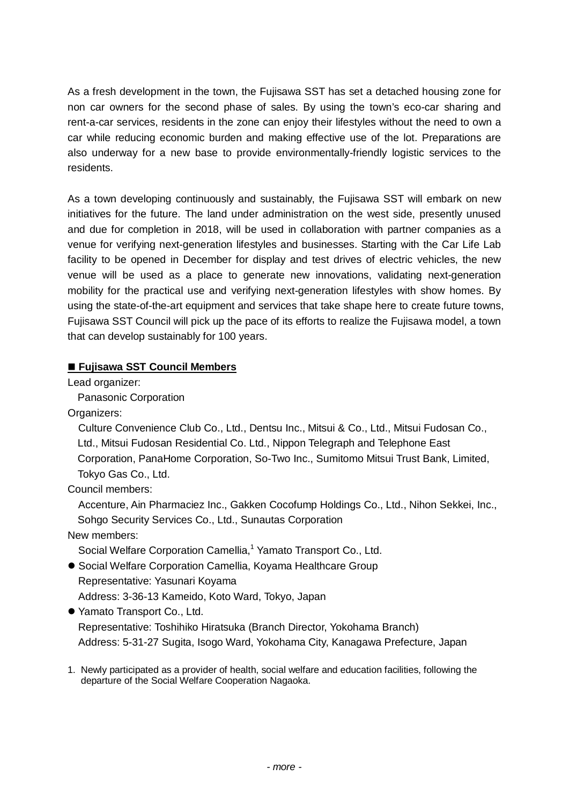As a fresh development in the town, the Fujisawa SST has set a detached housing zone for non car owners for the second phase of sales. By using the town's eco-car sharing and rent-a-car services, residents in the zone can enjoy their lifestyles without the need to own a car while reducing economic burden and making effective use of the lot. Preparations are also underway for a new base to provide environmentally-friendly logistic services to the residents.

As a town developing continuously and sustainably, the Fujisawa SST will embark on new initiatives for the future. The land under administration on the west side, presently unused and due for completion in 2018, will be used in collaboration with partner companies as a venue for verifying next-generation lifestyles and businesses. Starting with the Car Life Lab facility to be opened in December for display and test drives of electric vehicles, the new venue will be used as a place to generate new innovations, validating next-generation mobility for the practical use and verifying next-generation lifestyles with show homes. By using the state-of-the-art equipment and services that take shape here to create future towns, Fujisawa SST Council will pick up the pace of its efforts to realize the Fujisawa model, a town that can develop sustainably for 100 years.

#### **Fujisawa SST Council Members**

Lead organizer:

Panasonic Corporation

Organizers:

Culture Convenience Club Co., Ltd., Dentsu Inc., Mitsui & Co., Ltd., Mitsui Fudosan Co., Ltd., Mitsui Fudosan Residential Co. Ltd., Nippon Telegraph and Telephone East Corporation, PanaHome Corporation, So-Two Inc., Sumitomo Mitsui Trust Bank, Limited, Tokyo Gas Co., Ltd.

Council members:

Accenture, Ain Pharmaciez Inc., Gakken Cocofump Holdings Co., Ltd., Nihon Sekkei, Inc., Sohgo Security Services Co., Ltd., Sunautas Corporation

New members:

Social Welfare Corporation Camellia,<sup>1</sup> Yamato Transport Co., Ltd.

 Social Welfare Corporation Camellia, Koyama Healthcare Group Representative: Yasunari Koyama Address: 3-36-13 Kameido, Koto Ward, Tokyo, Japan

Yamato Transport Co., Ltd.

Representative: Toshihiko Hiratsuka (Branch Director, Yokohama Branch) Address: 5-31-27 Sugita, Isogo Ward, Yokohama City, Kanagawa Prefecture, Japan

1. Newly participated as a provider of health, social welfare and education facilities, following the departure of the Social Welfare Cooperation Nagaoka.